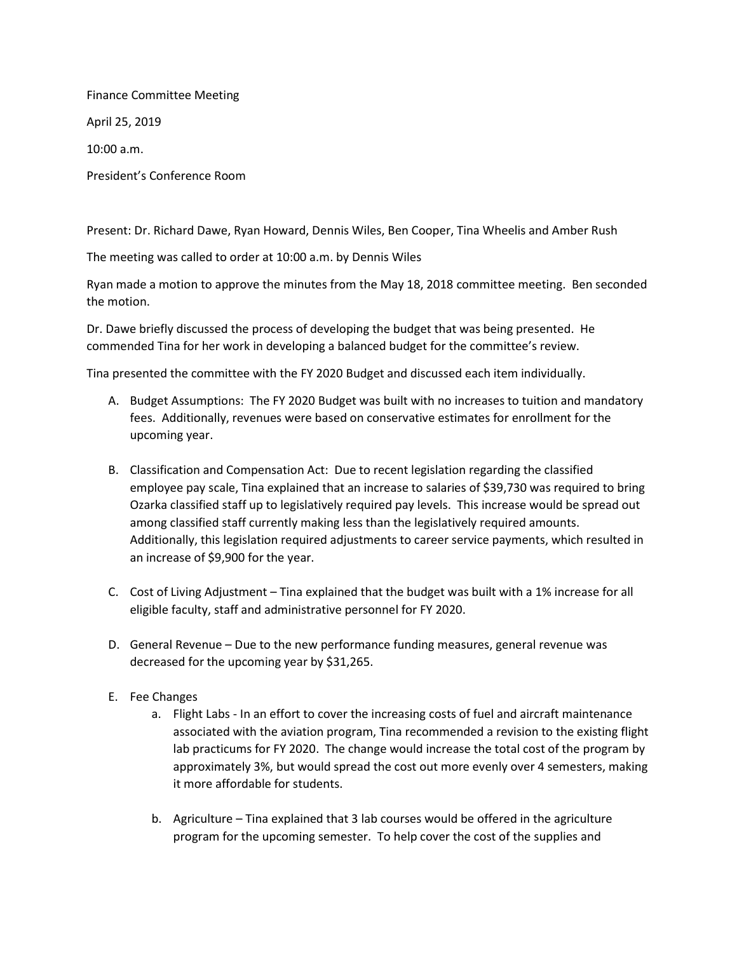Finance Committee Meeting April 25, 2019 10:00 a.m.

President's Conference Room

Present: Dr. Richard Dawe, Ryan Howard, Dennis Wiles, Ben Cooper, Tina Wheelis and Amber Rush

The meeting was called to order at 10:00 a.m. by Dennis Wiles

Ryan made a motion to approve the minutes from the May 18, 2018 committee meeting. Ben seconded the motion.

Dr. Dawe briefly discussed the process of developing the budget that was being presented. He commended Tina for her work in developing a balanced budget for the committee's review.

Tina presented the committee with the FY 2020 Budget and discussed each item individually.

- A. Budget Assumptions: The FY 2020 Budget was built with no increases to tuition and mandatory fees. Additionally, revenues were based on conservative estimates for enrollment for the upcoming year.
- B. Classification and Compensation Act: Due to recent legislation regarding the classified employee pay scale, Tina explained that an increase to salaries of \$39,730 was required to bring Ozarka classified staff up to legislatively required pay levels. This increase would be spread out among classified staff currently making less than the legislatively required amounts. Additionally, this legislation required adjustments to career service payments, which resulted in an increase of \$9,900 for the year.
- C. Cost of Living Adjustment Tina explained that the budget was built with a 1% increase for all eligible faculty, staff and administrative personnel for FY 2020.
- D. General Revenue Due to the new performance funding measures, general revenue was decreased for the upcoming year by \$31,265.
- E. Fee Changes
	- a. Flight Labs In an effort to cover the increasing costs of fuel and aircraft maintenance associated with the aviation program, Tina recommended a revision to the existing flight lab practicums for FY 2020. The change would increase the total cost of the program by approximately 3%, but would spread the cost out more evenly over 4 semesters, making it more affordable for students.
	- b. Agriculture Tina explained that 3 lab courses would be offered in the agriculture program for the upcoming semester. To help cover the cost of the supplies and